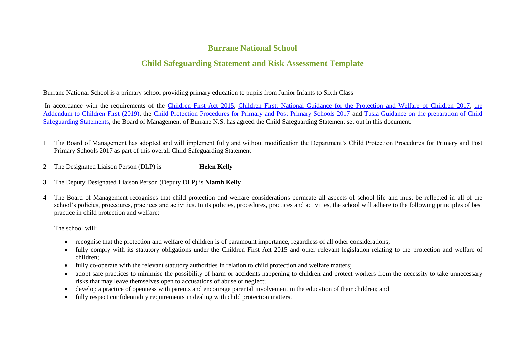## **Burrane National School**

## **Child Safeguarding Statement and Risk Assessment Template**

Burrane National School is a primary school providing primary education to pupils from Junior Infants to Sixth Class

In accordance with the requirements of the [Children First Act 2015,](http://www.irishstatutebook.ie/eli/2015/act/36/enacted/en/pdf) [Children First: National Guidance for the Protection and Welfare of Children 2017,](https://assets.gov.ie/25844/b90aafa55804462f84d05f87f0ca2bf6.pdf) the [Addendum to Children First \(2019\),](https://assets.gov.ie/25819/c9744b64dfd6447985eeffa5c0d71bbb.pdf) the [Child Protection Procedures for Primary and Post Primary Schools 2017](https://www.gov.ie/pdf/?file=https://assets.gov.ie/45063/2d4b5b3d781e4ec1ab4f3e5d198717d9.pdf#page=1) and [Tusla Guidance on the preparation of Child](https://www.tusla.ie/uploads/content/4214-TUSLA_Guidance_on_Developing_a_CSS_LR.PDF)  [Safeguarding Statements,](https://www.tusla.ie/uploads/content/4214-TUSLA_Guidance_on_Developing_a_CSS_LR.PDF) the Board of Management of Burrane N.S. has agreed the Child Safeguarding Statement set out in this document.

- 1 The Board of Management has adopted and will implement fully and without modification the Department's Child Protection Procedures for Primary and Post Primary Schools 2017 as part of this overall Child Safeguarding Statement
- **2** The Designated Liaison Person (DLP) is **Helen Kelly**
- **3** The Deputy Designated Liaison Person (Deputy DLP) is **Niamh Kelly**
- 4 The Board of Management recognises that child protection and welfare considerations permeate all aspects of school life and must be reflected in all of the school's policies, procedures, practices and activities. In its policies, procedures, practices and activities, the school will adhere to the following principles of best practice in child protection and welfare:

The school will:

- recognise that the protection and welfare of children is of paramount importance, regardless of all other considerations;
- fully comply with its statutory obligations under the Children First Act 2015 and other relevant legislation relating to the protection and welfare of children;
- fully co-operate with the relevant statutory authorities in relation to child protection and welfare matters;
- adopt safe practices to minimise the possibility of harm or accidents happening to children and protect workers from the necessity to take unnecessary risks that may leave themselves open to accusations of abuse or neglect;
- develop a practice of openness with parents and encourage parental involvement in the education of their children; and
- fully respect confidentiality requirements in dealing with child protection matters.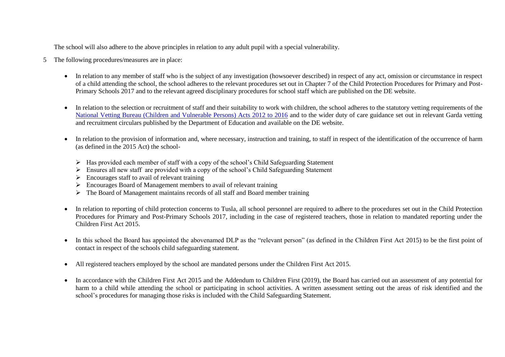The school will also adhere to the above principles in relation to any adult pupil with a special vulnerability.

- 5 The following procedures/measures are in place:
	- In relation to any member of staff who is the subject of any investigation (howsoever described) in respect of any act, omission or circumstance in respect of a child attending the school, the school adheres to the relevant procedures set out in Chapter 7 of the Child Protection Procedures for Primary and Post-Primary Schools 2017 and to the relevant agreed disciplinary procedures for school staff which are published on the DE website.
	- In relation to the selection or recruitment of staff and their suitability to work with children, the school adheres to the statutory vetting requirements of the [National Vetting Bureau \(Children and Vulnerable Persons\) Acts 2012 to 2016](https://revisedacts.lawreform.ie/eli/2012/act/47/revised/en/pdf) and to the wider duty of care guidance set out in relevant Garda vetting and recruitment circulars published by the Department of Education and available on the DE website.
	- In relation to the provision of information and, where necessary, instruction and training, to staff in respect of the identification of the occurrence of harm (as defined in the 2015 Act) the school-
		- $\triangleright$  Has provided each member of staff with a copy of the school's Child Safeguarding Statement
		- $\triangleright$  Ensures all new staff are provided with a copy of the school's Child Safeguarding Statement
		- $\triangleright$  Encourages staff to avail of relevant training
		- Encourages Board of Management members to avail of relevant training
		- $\triangleright$  The Board of Management maintains records of all staff and Board member training
	- In relation to reporting of child protection concerns to Tusla, all school personnel are required to adhere to the procedures set out in the Child Protection Procedures for Primary and Post-Primary Schools 2017, including in the case of registered teachers, those in relation to mandated reporting under the Children First Act 2015.
	- In this school the Board has appointed the abovenamed DLP as the "relevant person" (as defined in the Children First Act 2015) to be the first point of contact in respect of the schools child safeguarding statement.
	- All registered teachers employed by the school are mandated persons under the Children First Act 2015.
	- In accordance with the Children First Act 2015 and the Addendum to Children First (2019), the Board has carried out an assessment of any potential for harm to a child while attending the school or participating in school activities. A written assessment setting out the areas of risk identified and the school's procedures for managing those risks is included with the Child Safeguarding Statement.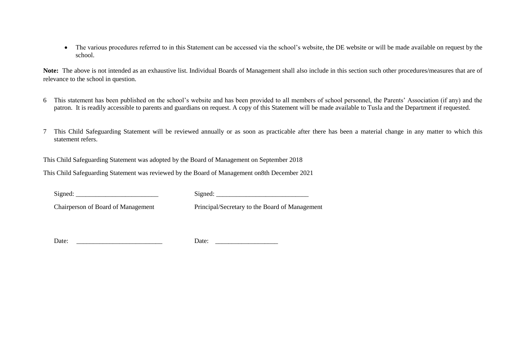• The various procedures referred to in this Statement can be accessed via the school's website, the DE website or will be made available on request by the school.

**Note:** The above is not intended as an exhaustive list. Individual Boards of Management shall also include in this section such other procedures/measures that are of relevance to the school in question.

- 6 This statement has been published on the school's website and has been provided to all members of school personnel, the Parents' Association (if any) and the patron. It is readily accessible to parents and guardians on request. A copy of this Statement will be made available to Tusla and the Department if requested.
- 7 This Child Safeguarding Statement will be reviewed annually or as soon as practicable after there has been a material change in any matter to which this statement refers.

This Child Safeguarding Statement was adopted by the Board of Management on September 2018

This Child Safeguarding Statement was reviewed by the Board of Management on8th December 2021

 $Signed:$ 

Chairperson of Board of Management Principal/Secretary to the Board of Management

Date: \_\_\_\_\_\_\_\_\_\_\_\_\_\_\_\_\_\_\_\_\_\_\_\_\_\_ Date: \_\_\_\_\_\_\_\_\_\_\_\_\_\_\_\_\_\_\_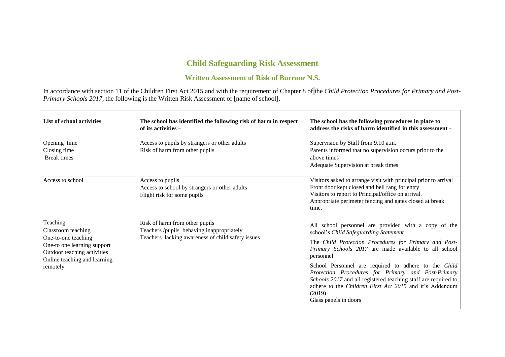## **Child Safeguarding Risk Assessment**

## **Written Assessment of Risk of Burrane N.S.**

In accordance with section 11 of the Children First Act 2015 and with the requirement of Chapter 8 of the *Child Protection Procedures for Primary and Post-Primary Schools 2017*, the following is the Written Risk Assessment of [name of school].

| List of school activities                                                                                                                                       | The school has identified the following risk of harm in respect<br>of its activities –                                           | The school has the following procedures in place to<br>address the risks of harm identified in this assessment -                                                                                                                                                                                                                                                                                                                                                                                                  |
|-----------------------------------------------------------------------------------------------------------------------------------------------------------------|----------------------------------------------------------------------------------------------------------------------------------|-------------------------------------------------------------------------------------------------------------------------------------------------------------------------------------------------------------------------------------------------------------------------------------------------------------------------------------------------------------------------------------------------------------------------------------------------------------------------------------------------------------------|
| Opening time<br>Closing time<br><b>Break times</b>                                                                                                              | Access to pupils by strangers or other adults<br>Risk of harm from other pupils                                                  | Supervision by Staff from 9.10 a.m.<br>Parents informed that no supervision occurs prior to the<br>above times<br>Adequate Supervision at break times                                                                                                                                                                                                                                                                                                                                                             |
| Access to school                                                                                                                                                | Access to pupils<br>Access to school by strangers or other adults<br>Flight risk for some pupils                                 | Visitors asked to arrange visit with principal prior to arrival<br>Front door kept closed and bell rang for entry<br>Visitors to report to Principal/office on arrival.<br>Appropriate perimeter fencing and gates closed at break<br>time.                                                                                                                                                                                                                                                                       |
| Teaching<br>Classroom teaching<br>One-to-one teaching<br>One-to one learning support<br>Outdoor teaching activities<br>Online teaching and learning<br>remotely | Risk of harm from other pupils<br>Teachers /pupils behaving inappropriately<br>Teachers lacking awareness of child safety issues | All school personnel are provided with a copy of the<br>school's Child Safeguarding Statement<br>The Child Protection Procedures for Primary and Post-<br>Primary Schools 2017 are made available to all school<br>personnel<br>School Personnel are required to adhere to the Child<br>Protection Procedures for Primary and Post-Primary<br>Schools 2017 and all registered teaching staff are required to<br>adhere to the <i>Children First Act 2015</i> and it's Addendum<br>(2019)<br>Glass panels in doors |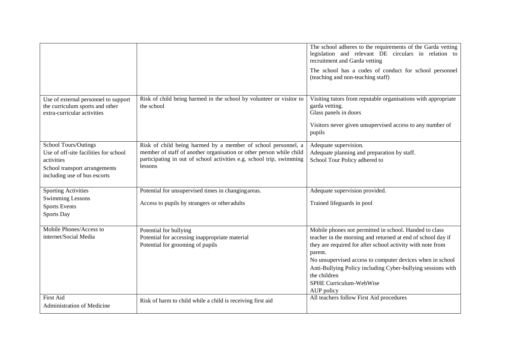|                                                                                                                                                     |                                                                                                                                                                                                                         | The school adheres to the requirements of the Garda vetting<br>legislation and relevant DE circulars in relation to<br>recruitment and Garda vetting<br>The school has a codes of conduct for school personnel<br>(teaching and non-teaching staff)                                                                                                                                 |
|-----------------------------------------------------------------------------------------------------------------------------------------------------|-------------------------------------------------------------------------------------------------------------------------------------------------------------------------------------------------------------------------|-------------------------------------------------------------------------------------------------------------------------------------------------------------------------------------------------------------------------------------------------------------------------------------------------------------------------------------------------------------------------------------|
| Use of external personnel to support<br>the curriculum sports and other<br>extra-curricular activities                                              | Risk of child being harmed in the school by volunteer or visitor to<br>the school                                                                                                                                       | Visiting tutors from reputable organisations with appropriate<br>garda vetting.<br>Glass panels in doors                                                                                                                                                                                                                                                                            |
|                                                                                                                                                     |                                                                                                                                                                                                                         | Visitors never given unsupervised access to any number of<br>pupils                                                                                                                                                                                                                                                                                                                 |
| <b>School Tours/Outings</b><br>Use of off-site facilities for school<br>activities<br>School transport arrangements<br>including use of bus escorts | Risk of child being harmed by a member of school personnel, a<br>member of staff of another organisation or other person while child<br>participating in out of school activities e.g. school trip, swimming<br>lessons | Adequate supervision.<br>Adequate planning and preparation by staff.<br>School Tour Policy adhered to                                                                                                                                                                                                                                                                               |
| <b>Sporting Activities</b><br>Swimming Lessons<br><b>Sports Events</b><br>Sports Day                                                                | Potential for unsupervised times in changing areas.<br>Access to pupils by strangers or other adults                                                                                                                    | Adequate supervision provided.<br>Trained lifeguards in pool                                                                                                                                                                                                                                                                                                                        |
| Mobile Phones/Access to<br>internet/Social Media                                                                                                    | Potential for bullying<br>Potential for accessing inappropriate material<br>Potential for grooming of pupils                                                                                                            | Mobile phones not permitted in school. Handed to class<br>teacher in the morning and returned at end of school day if<br>they are required for after school activity with note from<br>parent.<br>No unsupervised access to computer devices when in school<br>Anti-Bullying Policy including Cyber-bullying sessions with<br>the children<br>SPHE Curriculum-WebWise<br>AUP policy |
| <b>First Aid</b><br><b>Administration of Medicine</b>                                                                                               | Risk of harm to child while a child is receiving first aid                                                                                                                                                              | All teachers follow First Aid procedures                                                                                                                                                                                                                                                                                                                                            |